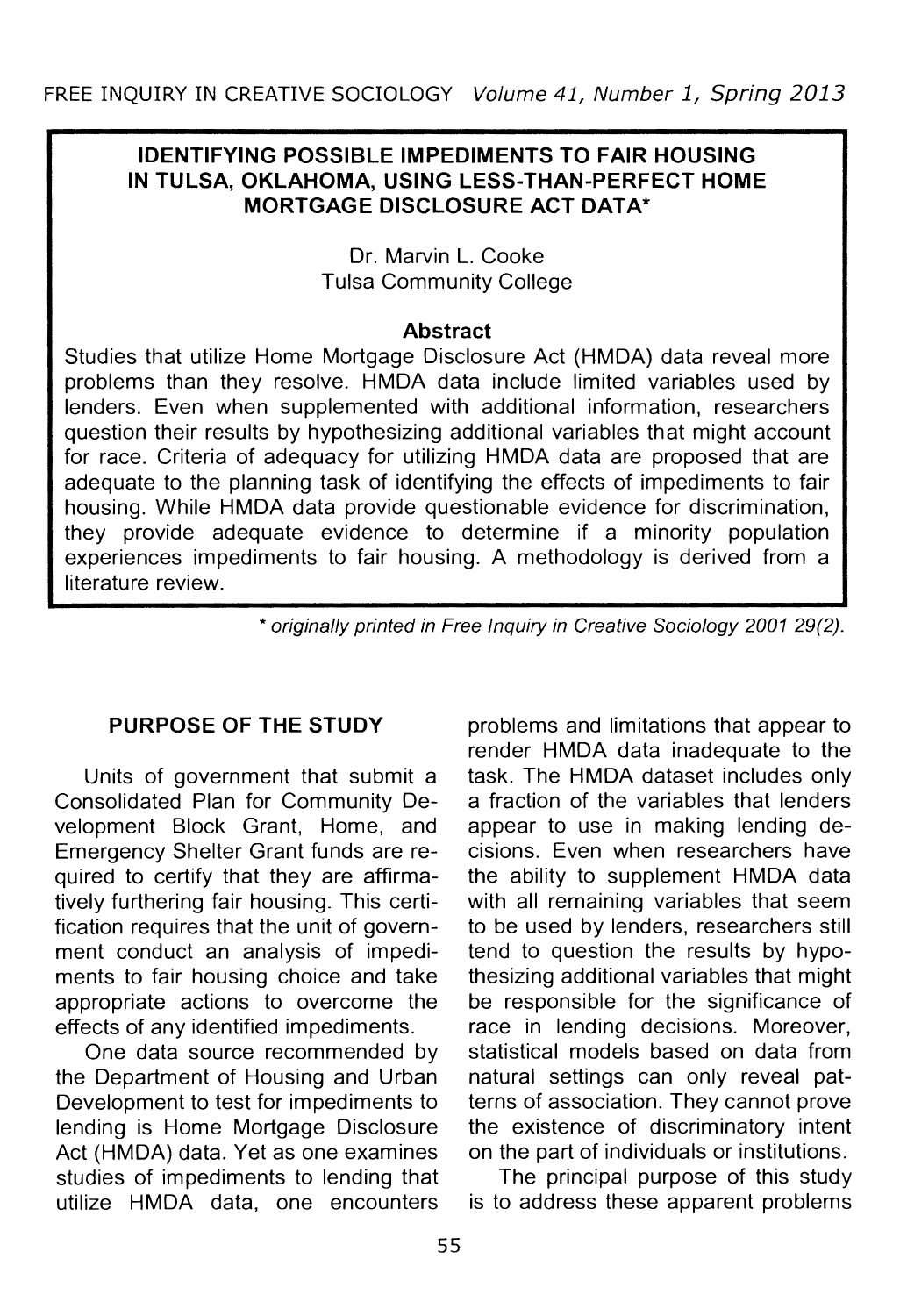## **IDENTIFYING POSSIBLE IMPEDIMENTS TO FAIR HOUSING IN TULSA, OKLAHOMA, USING LESS-THAN-PERFECT HOME MORTGAGE DISCLOSURE ACT DATA\***

Dr. Marvin L. Cooke Tulsa Community College

## **Abstract**

Studies that utilize Home Mortgage Disclosure Act (HMDA) data reveal more problems than they resolve. HMDA data include limited variables used by lenders. Even when supplemented with additional information, researchers question their results by hypothesizing additional variables that might account for race. Criteria of adequacy for utilizing HMDA data are proposed that are adequate to the planning task of identifying the effects of impediments to fair housing. While HMDA data provide questionable evidence for discrimination, they provide adequate evidence to determine if a minority population experiences impediments to fair housing. A methodology is derived from a literature review.

\* originally printed in Free Inquiry in Creative Sociology 2001 29(2).

# **PURPOSE OF THE STUDY**

Units of government that submit a Consolidated Plan for Community Development Block Grant, Home, and Emergency Shelter Grant funds are required to certify that they are affirmatively furthering fair housing. This certification requires that the unit of government conduct an analysis of impediments to fair housing choice and take appropriate actions to overcome the effects of any identified impediments.

One data source recommended by the Department of Housing and Urban Development to test for impediments to lending is Home Mortgage Disclosure Act (HMDA) data. Yet as one examines studies of impediments to lending that utilize HMDA data, one encounters

problems and limitations that appear to render HMDA data inadequate to the task. The HMDA dataset includes only a fraction of the variables that lenders appear to use in making lending decisions. Even when researchers have the ability to supplement HMDA data with all remaining variables that seem to be used by lenders, researchers still tend to question the results by hypothesizing additional variables that might be responsible for the significance of race in lending decisions. Moreover, statistical models based on data from natural settings can only reveal patterns of association. They cannot prove the existence of discriminatory intent on the part of individuals or institutions.

The principal purpose of this study is to address these apparent problems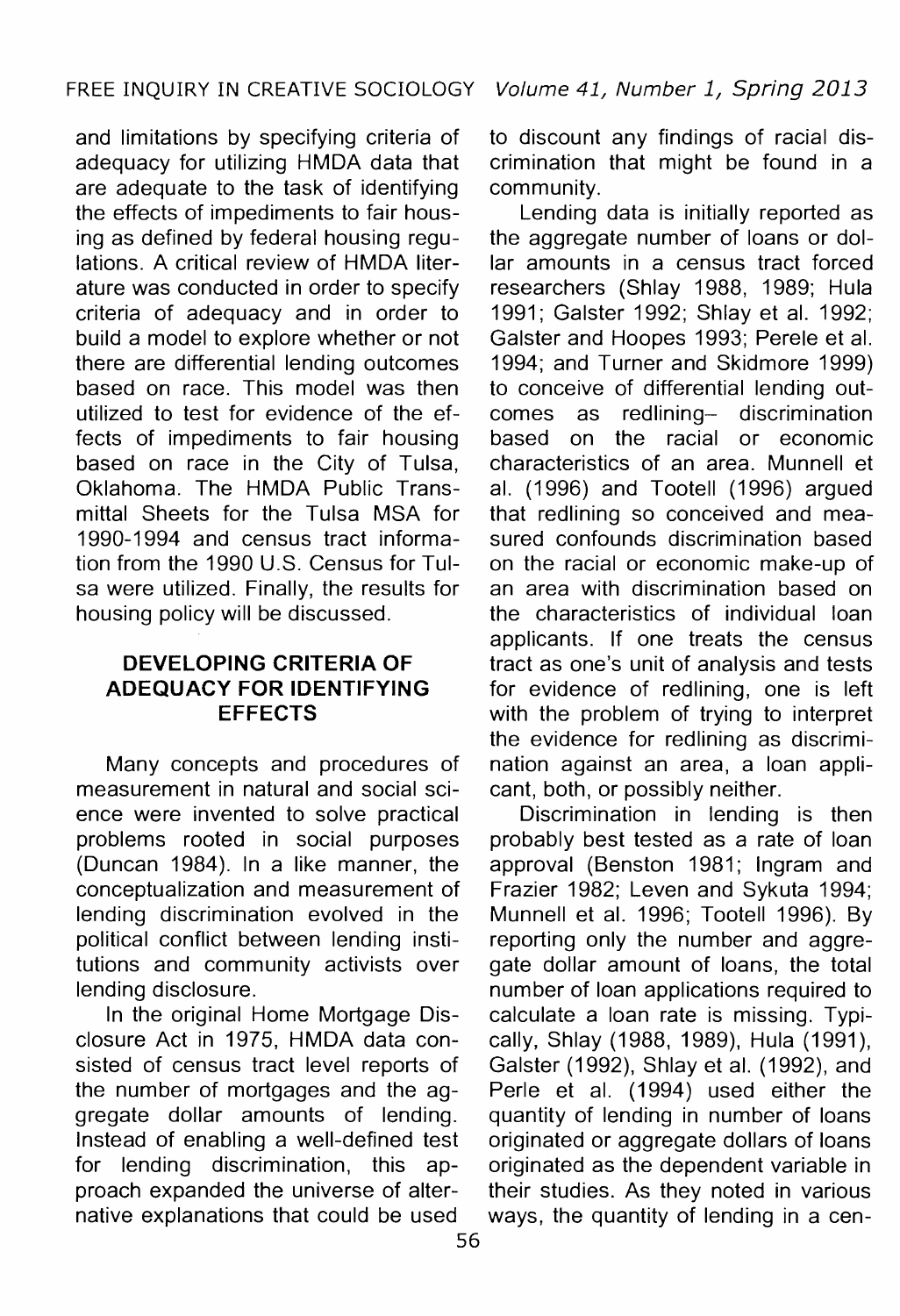and limitations by specifying criteria of adequacy for utilizing HMDA data that are adequate to the task of identifying the effects of impediments to fair housing as defined by federal housing regulations. A critical review of HMDA literature was conducted in order to specify criteria of adequacy and in order to build a model to explore whether or not there are differential lending outcomes based on race. This model was then utilized to test for evidence of the effects of impediments to fair housing based on race in the City of Tulsa, Oklahoma. The HMDA Public Transmittal Sheets for the Tulsa MSA for 1990-1994 and census tract information from the 1990 U.S. Census for Tulsa were utilized. Finally, the results for housing policy will be discussed.

## **DEVELOPING CRITERIA OF ADEQUACY FOR IDENTIFYING EFFECTS**

Many concepts and procedures of nation against an area, a loan assurement in natural and social sci- cant, both, or possibly neither. measurement in natural and social science were invented to solve practical Discrimination in lending is then problems rooted in social purposes probably best tested as a rate of loan (Duncan 1984). In a like manner, the approval (Benston 1981; Ingram and conceptualization and measurement of Frazier 1982; Leven and Sykuta 1994; political conflict between lending insti-<br>tutions and community activists over gate dollar amount of loans, the total lending disclosure. The number of loan applications required to

In the original Home Mortgage Dis- calculate a loan rate is missing. Typi-<br>closure Act in 1975, HMDA data con- cally, Shlay (1988, 1989), Hula (1991). sisted of census tract level reports of Galster (1992), Shlay et al. (1992), and the number of mortgages and the ag- Perle et al. (1994) used either the gregate dollar amounts of lending. quantity of lending in number of loans<br>Instead of enabling a well-defined test originated or aggregate dollars of loans Instead of enabling a well-defined test originated or aggregate dollars of loans<br>for lending discrimination, this ap- originated as the dependent variable in proach expanded the universe of alter- their studies. As they noted in various native explanations that could be used ways, the quantity of lending in a cen-

to discount any findings of racial discrimination that might be found in a community.

Lending data is initially reported as the aggregate number of loans or dollar amounts in a census tract forced researchers (Shlay 1988, 1989; Hula 1991; Galster 1992; Shlay et al. 1992; Galster and Hoopes 1993; Perele et al. 1994; and Turner and Skidmore 1999) to conceive of differential lending outcomes as redlining- discrimination based on the racial or economic characteristics of an area. Munnell et al. (1996) and Tootell (1996) argued that redlining so conceived and measured confounds discrimination based on the racial or economic make-up of an area with discrimination based on the characteristics of individual loan applicants. If one treats the census tract as one's unit of analysis and tests for evidence of redlining, one is left with the problem of trying to interpret the evidence for redlining as discrimination against an area, a loan appli-

Munnell et al. 1996; Tootell 1996). By gate dollar amount of loans, the total cally, Shlay (1988, 1989), Hula (1991), this ap- originated as the dependent variable in ways, the quantity of lending in a cen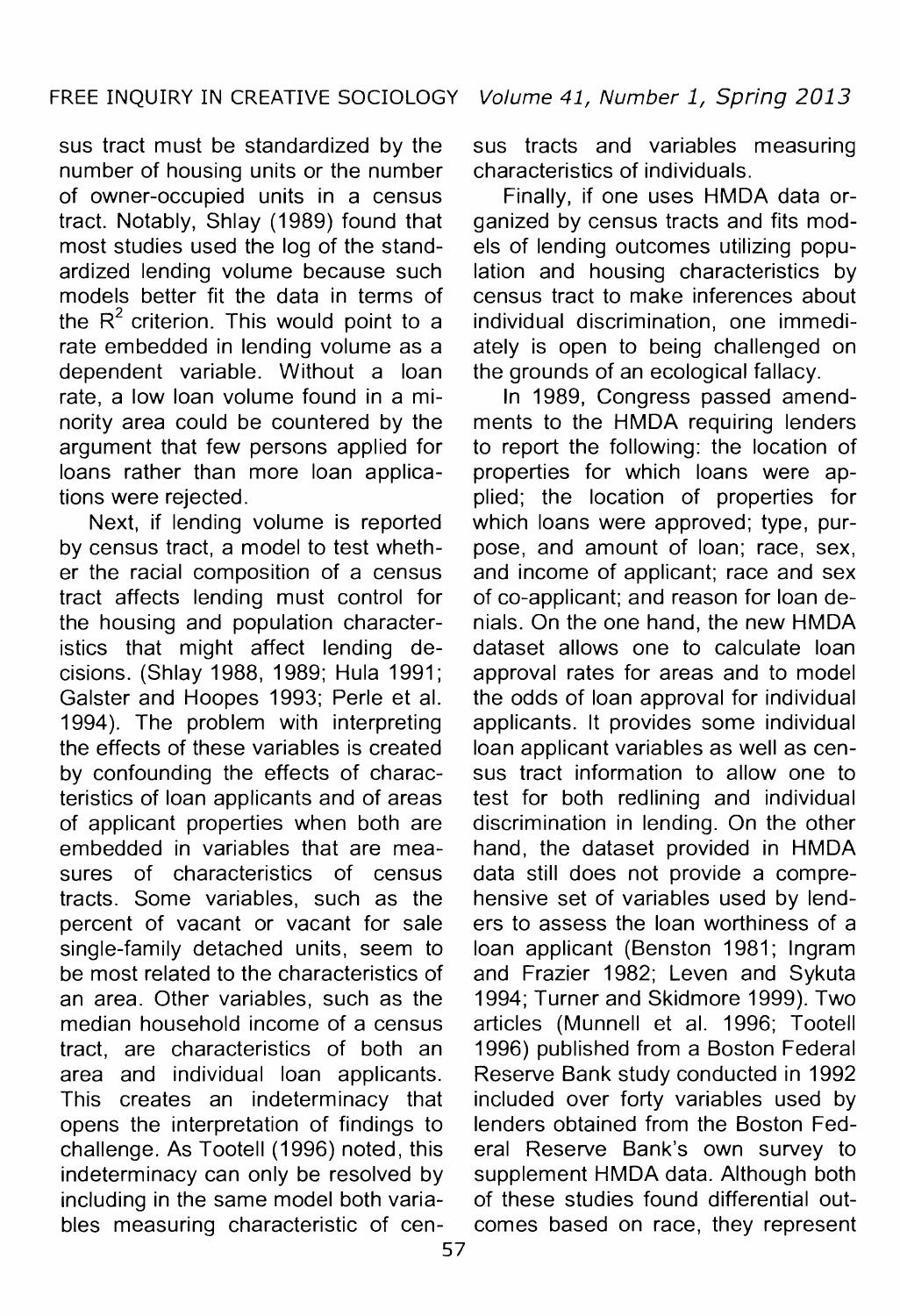number of housing units or the number characteristics of individuals. of owner-occupied units in a census Finally, if one uses HMDA data or-<br>tract. Notably. Shlay (1989) found that aanized by census tracts and fits modtract. Notably, Shlay (1989) found that ganized by census tracts and fits modardized lending volume because such<br>models better fit the data in terms of census tract to make inferences about the  $R^2$  criterion. This would point to a individual discrimination, one immedi-<br>rate embedded in lending volume as a ately is open to being challenged on rate embedded in lending volume as a ately is open to being challenged on dependent variable. Without a loan the grounds of an ecological fallacy. rate, a low loan volume found in a minority area could be countered by the argument that few persons applied for loans rather than more loan applica- properties for which loans were aptions were rejected. plied; the location of properties for

by census tract, a model to test wheth-<br>
er the racial composition of a census<br>
I and income of applicant; race and sex er the racial composition of a census<br>tract affects lending must control for the housing and population character- nials. On the one hand, the new HMDA istics that might affect lending de- dataset allows one to calculate loan cisions. (Shlay 1988, 1989; Hula 1991; approval rates for areas and to model Galster and Hoopes 1993; Perle et al. the odds of loan approval for individual 1994). The problem with interpreting applicants. It provides some individual the effects of these variables is created loan applicant variables as well as cenby confounding the effects of charac- sus tract information to allow one to teristics of loan applicants and of areas test for both redlining and individual of applicant properties when both are discrimination in lending. On the other embedded in variables that are mea- hand, the dataset provided in HMDA sures of characteristics of census data still does not provide a compretracts. Some variables, such as the hensive set of variables used by lendpercent of vacant or vacant for sale ers to assess the loan worthiness of a single-family detached units, seem to loan applicant (Benston 1981; Ingram be most related to the characteristics of and Frazier 1982; Leven and Sykuta an area. Other variables, such as the 1994; Turner and Skidmore 1999). Two median household income of a census articles (Munnell et al. 1996; Tootell tract, are characteristics of both an 1996) published from a Boston Federal area and individual loan applicants. Reserve Bank study conducted in 1992 This creates an indeterminacy that included over forty variables used by opens the interpretation of findings to lenders obtained from the Boston Fedchallenge. As Tootell (1996) noted, this eral Reserve Bank's own survey to indeterminacy can only be resolved by supplement HMDA data. Although both including in the same model both varia- of these studies found differential outbles measuring characteristic of cen- comes based on race, they represent

sus tract must be standardized by the sus tracts and variables measuring

els of lending outcomes utilizing popucensus tract to make inferences about the grounds of an ecological fallacy.<br>In 1989. Congress passed amend-

ments to the HMDA requiring lenders<br>to report the following: the location of Next, if lending volume is reported which loans were approved; type, pur-<br>census tract, a model to test wheth- pose, and amount of loan; race, sex, of co-applicant; and reason for loan dedataset allows one to calculate loan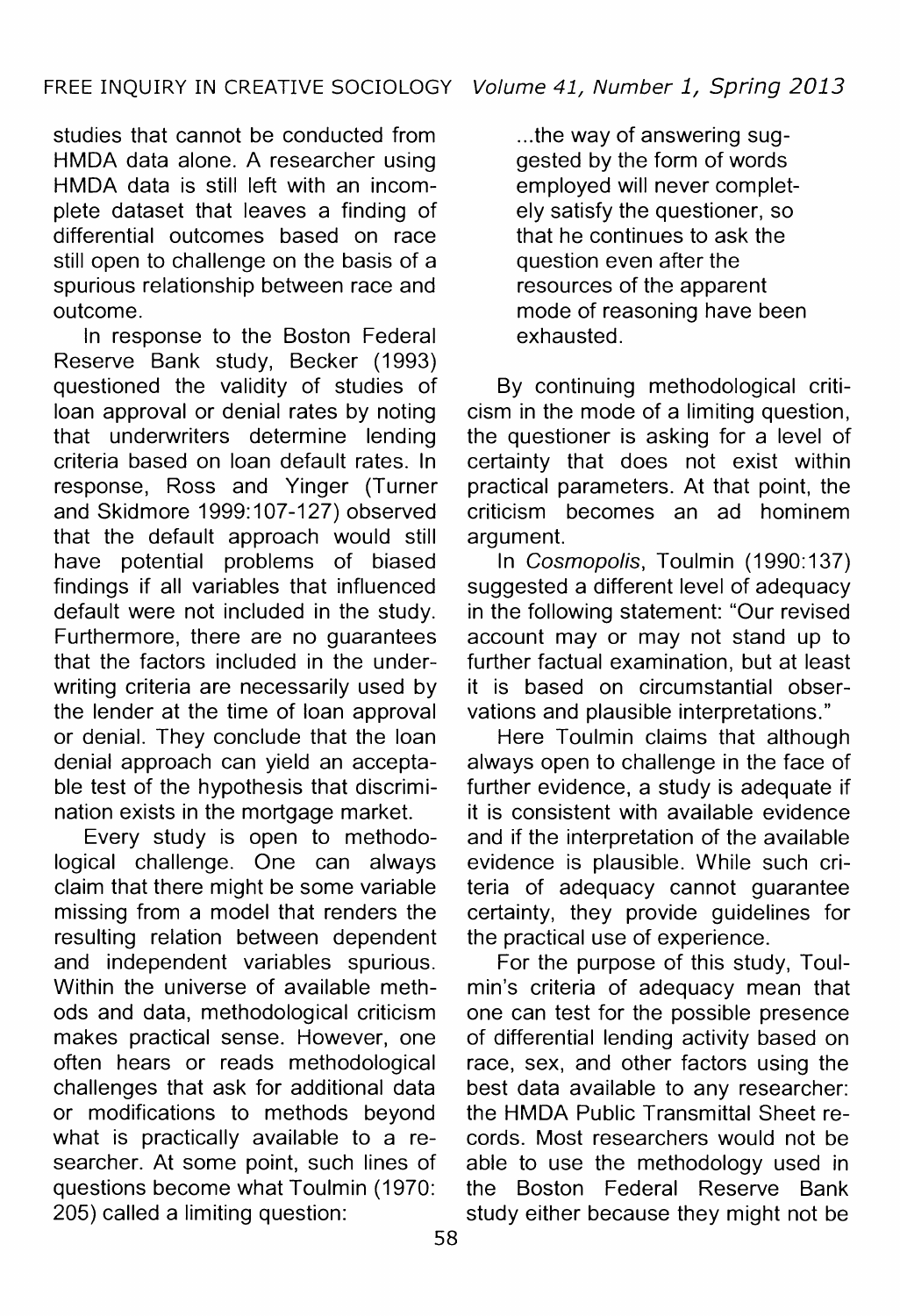studies that cannot be conducted from HMDA data alone. A researcher using HMDA data is still left with an incomplete dataset that leaves a finding of differential outcomes based on race still open to challenge on the basis of a spurious relationship between race and outcome.

In response to the Boston Federal Reserve Bank study, Becker (1993) questioned the validity of studies of loan approval or denial rates by noting that underwriters determine lending criteria based on loan default rates. In response, Ross and Yinger (Turner and Skidmore 1999: 107-127) observed that the default approach would still have potential problems of biased findings if all variables that influenced default were not included in the study. Furthermore, there are no guarantees that the factors included in the underwriting criteria are necessarily used by the lender at the time of loan approval or denial. They conclude that the loan denial approach can yield an acceptable test of the hypothesis that discrimination exists in the mortgage market.

Every study is open to methodological challenge. One can always claim that there might be some variable missing from a model that renders the resulting relation between dependent and independent variables spurious. Within the universe of available methods and data, methodological criticism makes practical sense. However, one often hears or reads methodological challenges that ask for additional data or modifications to methods beyond what is practically available to a researcher. At some point, such lines of questions become what Toulmin (1970:<br>205) called a limiting question:

... the way of answering suggested by the form of words employed will never completely satisfy the questioner, so that he continues to ask the question even after the resources of the apparent mode of reasoning have been exhausted.

By continuing methodological criticism in the mode of a limiting question, the questioner is asking for a level of certainty that does not exist within practical parameters. At that point, the criticism becomes an ad hominem argument.

In Cosmopolis, Toulmin (1990:137) suggested a different level of adequacy in the following statement: "Our revised account may or may not stand up to further factual examination, but at least it is based on circumstantial observations and plausible interpretations."

Here Toulmin claims that although always open to challenge in the face of further evidence, a study is adequate if it is consistent with available evidence and if the interpretation of the available evidence is plausible. While such criteria of adequacy cannot guarantee certainty, they provide guidelines for the practical use of experience.

For the purpose of this study, Toulmin's criteria of adequacy mean that one can test for the possible presence of differential lending activity based on race, sex, and other factors using the best data available to any researcher: the HMDA Public Transmittal Sheet records. Most researchers would not be able to use the methodology used in the Boston Federal Reserve Bank study either because they might not be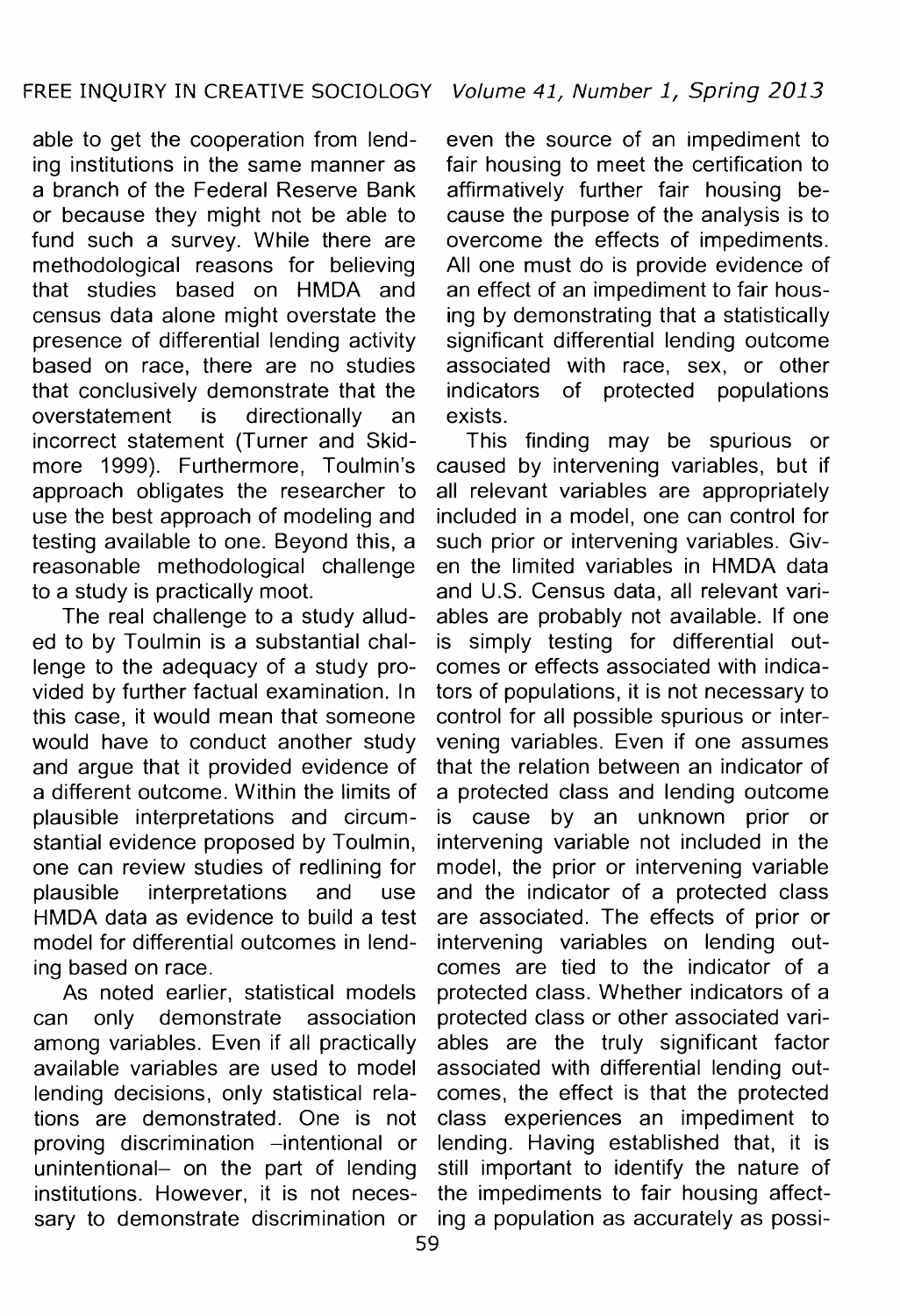able to get the cooperation from lend- even the source of an impediment to ing institutions in the same manner as fair housing to meet the certification to ing institutions in the same manner as<br>a branch of the Federal Reserve Bank or because they might not be able to fund such a survey. While there are fund such a survey. While there are overcome the effects of impediments.<br>methodological reasons for believing All one must do is provide evidence of methodological reasons for believing All one must do is provide evidence of that studies based on HMDA and an effect of an impediment to fair houscensus data alone might overstate the ing by demonstrating that a statistically<br>presence of differential lending activity significant differential lending outcome presence of differential lending activity significant differential lending outcome<br>based on race, there are no studies associated with race, sex, or other that conclusively demonstrate that the indicators of protected populations overstatement is directionally an exists. incorrect statement (Turner and Skid-<br>more 1999). Furthermore, Toulmin's caused by intervening variables, but if more 1999). Furthermore, Toulmin's caused by intervening variables, but if approach obligates the researcher to all relevant variables are appropriately use the best approach of modeling and included in a model, one can control for testing available to one. Bevond this, a such prior or intervening variables. Givtesting available to one. Beyond this, a reasonable methodological challenge en the limited variables in HMDA data

lenge to the adequacy of a study pro- comes or effects associated with indicavided by further factual examination. In tors of populations, it is not necessary to this case, it would mean that someone control for all possible spurious or interwould have to conduct another study vening variables. Even if one assumes and argue that it provided evidence of that the relation between an indicator of a different outcome. Within the limits of a protected class and lending outcome plausible interpretations and circum- is cause by an unknown prior or stantial evidence proposed by Toulmin, intervening variable not included in the one can review studies of redlining for model, the prior or intervening variable plausible interpretations and use and the indicator of a protected class ing based on race. comes are tied to the indicator of a

lending decisions, only statistical rela- comes, the effect is that the protected proving discrimination -intentional or lending. Having established that, it is sary to demonstrate discrimination or ing a population as accurately as possi-

affirmatively further fair housing be-<br>cause the purpose of the analysis is to an effect of an impediment to fair housassociated with race, sex, or other

all relevant variables are appropriately to a study is practically moot. and U.S. Census data, all relevant vari-<br>The real challenge to a study allud- ables are probably not available. If one The real challenge to a study allud- ables are probably not available. If one ed to by Toulmin is a substantial chal- is simply testing for differential outis simply testing for differential outcontrol for all possible spurious or intera protected class and lending outcome. HMDA data as evidence to build a test are associated. The effects of prior or model for differential outcomes in lend- intervening variables on lending out-As noted earlier, statistical models protected class. Whether indicators of a can only demonstrate association protected class or other associated variamong variables. Even if all practically ables are the truly significant factor available variables are used to model associated with differential lending outtions are demonstrated. One is not class experiences an impediment to unintentional- on the part of lending still important to identify the nature of institutions. However, it is not neces- the impediments to fair housing affect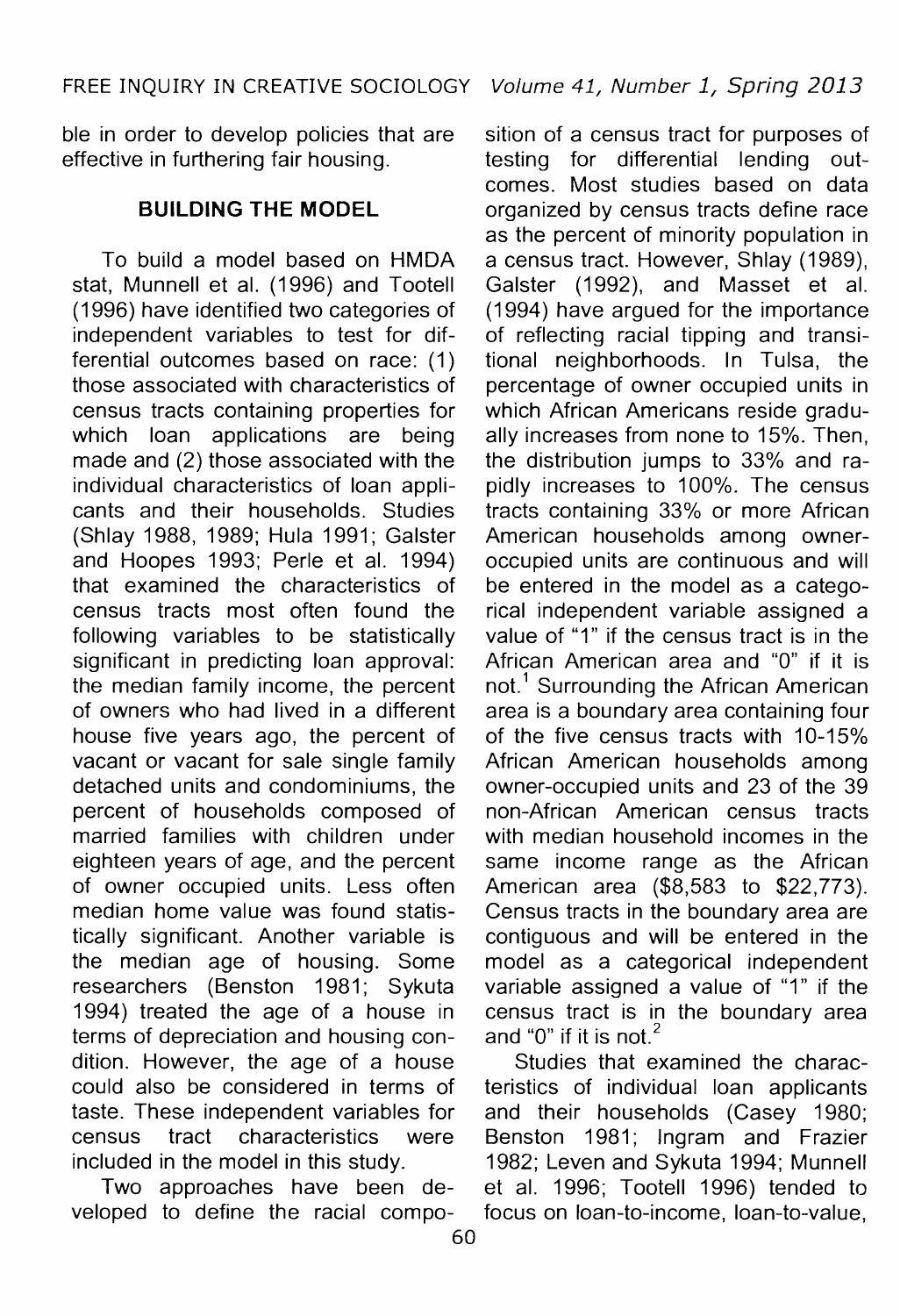ble in order to develop policies that are effective in furthering fair housing.

stat, Munnell et al. (1996) and Tootell (1996) have identified two categories of (1996) have identified two categories of (1994) have argued for the importance independent variables to test for dif- of reflecting racial tipping and transithose associated with characteristics of percentage of owner occupied units in census tracts containing properties for which African Americans reside gradu-<br>which loan applications are being ally increases from none to 15%. Then, which loan applications are being ally increases from none to 15%. Then, made and (2) those associated with the the distribution iumps to 33% and raindividual characteristics of loan appli- pidly increases to 100%. The census cants and their households. Studies tracts containing 33% or more African (Shlay 1988, 1989; Hula 1991; Galster and Hoopes 1993; Perle et al. 1994) occupied units are continuous and will that examined the characteristics of be entered in the model as a catego-<br>census tracts most often found the stical independent variable assigned a following variables to be statistically significant in predicting loan approval: significant in predicting Ioan approval: African American area and "0" if it is the median family income, the percent not.<sup>1</sup> Surrounding the African American the median family income, the percent  $\cdot$  not.<sup>1</sup> Surrounding the African American of owners who had lived in a different area is a boundary area containing four house five years ago, the percent of of the five census tracts with 10-15% vacant or vacant for sale single family African American households among vacant or vacant for sale single family African American households among detached units and condominiums, the owner-occupied units and 23 of the 39 percent of households composed of non-African American census tracts<br>married families with children under with median household incomes in the eighteen years of age, and the percent same income range as the African of owner occupied units. Less often American area (\$8,583 to \$22,773). median home value was found statis-<br>tically significant. Another variable is contiguous and will be entered in the tically significant. Another variable is contiguous and will be entered in the researchers (Benston 1981; Sykuta variable assigned a value of "1" if the 1994) treated the age of a house in census tract is in the boundary area terms of depreciation and housing condition. However, the age of a house Studies that examined the characcould also be considered in terms of teristics of individual loan applicants taste. These independent variables for and their households (Casey 1980; census tract characteristics were Benston 1981; Ingram and Frazier included in the model in this study. 1982; Leven and Sykuta 1994; Munnell

veloped to define the racial compo-

sition of a census tract for purposes of testing for differential lending outcomes. Most studies based on data **BUILDING THE MODEL** organized by census tracts define race as the percent of minority population in To build a model based on HMDA a census tract. However, Shlay (1989), tional neighborhoods. In Tulsa, the the distribution jumps to 33% and ratracts containing 33% or more African<br>American households among ownerrical independent variable assigned a<br>value of "1" if the census tract is in the area is a boundary area containing four owner-occupied units and 23 of the  $39$ with median household incomes in the American area  $(\$8,583$  to  $$22,773$ ). model as a categorical independent census tract is in the boundary area<br>and "0" if it is not.<sup>2</sup>

Two approaches have been de- et al. 1996; Tootell 1996) tended to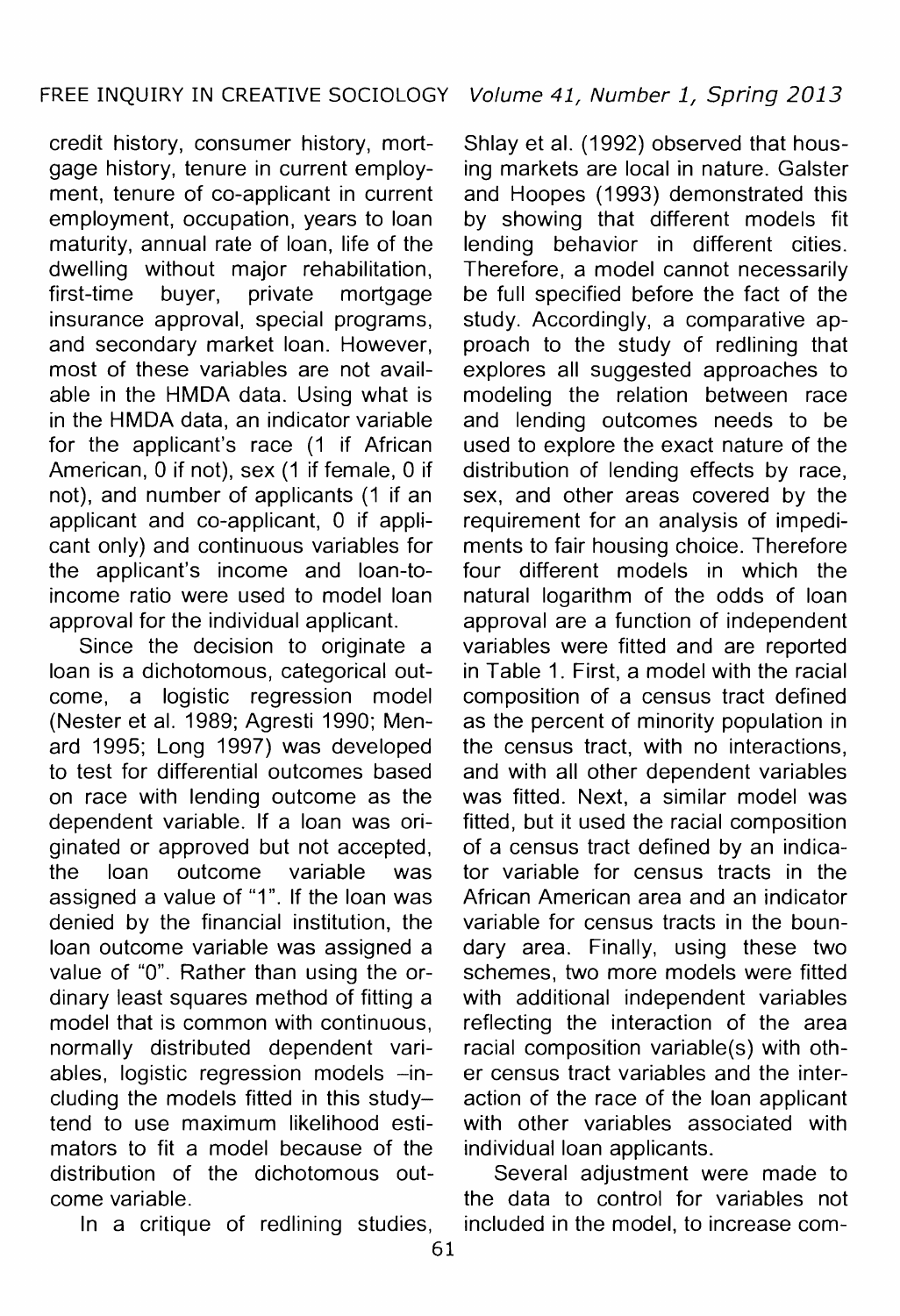credit history, consumer history, mort- Shlay et al. (1992) observed that housgage history, tenure in current employ- ing markets are local in nature. Galster ment. tenure of co-applicant in current and Hoopes (1993) demonstrated this ment, tenure of co-applicant in current and Hoopes (1993) demonstrated this employment, occupation, years to loan by showing that different models fit employment, occupation, years to loan by showing that different models fit maturity, annual rate of loan, life of the lending behavior in different cities. maturity, annual rate of loan, life of the lending behavior in different cities.<br>dwelling without maior rehabilitation. Therefore, a model cannot necessarily first-time buyer, private mortgage be full specified before the fact of the insurance approval, special programs, study. Accordingly, a comparative ap-<br>and secondary market loan. However, proach to the study of redlining that and secondary market loan. However, proach to the study of redlining that most of these variables are not avail-<br>explores all suggested approaches to able in the HMDA data. Using what is modeling the relation between race in the HMDA data, an indicator variable and lending outcomes needs to be for the applicant's race (1 if African used to explore the exact nature of the American, 0 if not), sex (1 if female, 0 if distribution of lending effects by race, American, 0 if not), sex (1 if female, 0 if distribution of lending effects by race, not), and number of applicants (1 if an sex, and other areas covered by the not), and number of applicants (1 if an sex, and other areas covered by the applicant and co-applicant. 0 if appli- requirement for an analysis of impediapplicant and co-applicant, 0 if appli- requirement for an analysis of impedi-<br>cant only) and continuous variables for ments to fair housing choice. Therefore the applicant's income and loan-to- four different models in which the income ratio were used to model loan natural logarithm of the odds of loan

loan is a dichotomous, categorical outcome, a logistic regression model composition of a census tract defined (Nester et al. 1989; Agresti 1990; Men- as the percent of minority population in to test for differential outcomes based and with all other dependent variables on race with lending outcome as the was fitted. Next, a similar model was dependent variable. If a loan was ori- fitted, but it used the racial composition ginated or approved but not accepted, of a census tract defined by an indicathe loan outcome variable was tor variable for census tracts in the assigned a value of "1". If the loan was African American area and an indicator denied by the financial institution, the variable for census tracts in the bounloan outcome variable was assigned a dary area. Finally, using these two value of "O". Rather than using the or- schemes, two more models were fitted dinary least squares method of fitting a with additional independent variables model that is common with continuous, reflecting the interaction of the area normally distributed dependent vari- racial composition variable(s) with othables, logistic regression models -in- er census tract variables and the intereluding the models fitted in this study- action of the race of the loan applicant tend to use maximum likelihood esti- with other variables associated with mators to fit a model because of the individual loan applicants. distribution of the dichotomous out- Several adjustment were made to come variable. the data to control for variables not

ithout major rehabilitation, Therefore, a model cannot necessarily<br>buyer, private mortgage be full specified before the fact of the explores all suggested approaches to ments to fair housing choice. Therefore approval for the individual applicant. approval are a function of independent<br>Since the decision to originate a variables were fitted and are reported Since the decision to originate a variables were fitted and are reported<br>in is a dichotomous, categorical out- in Table 1, First, a model with the racial the census tract, with no interactions,

In a critique of redlining studies, included in the model, to increase com-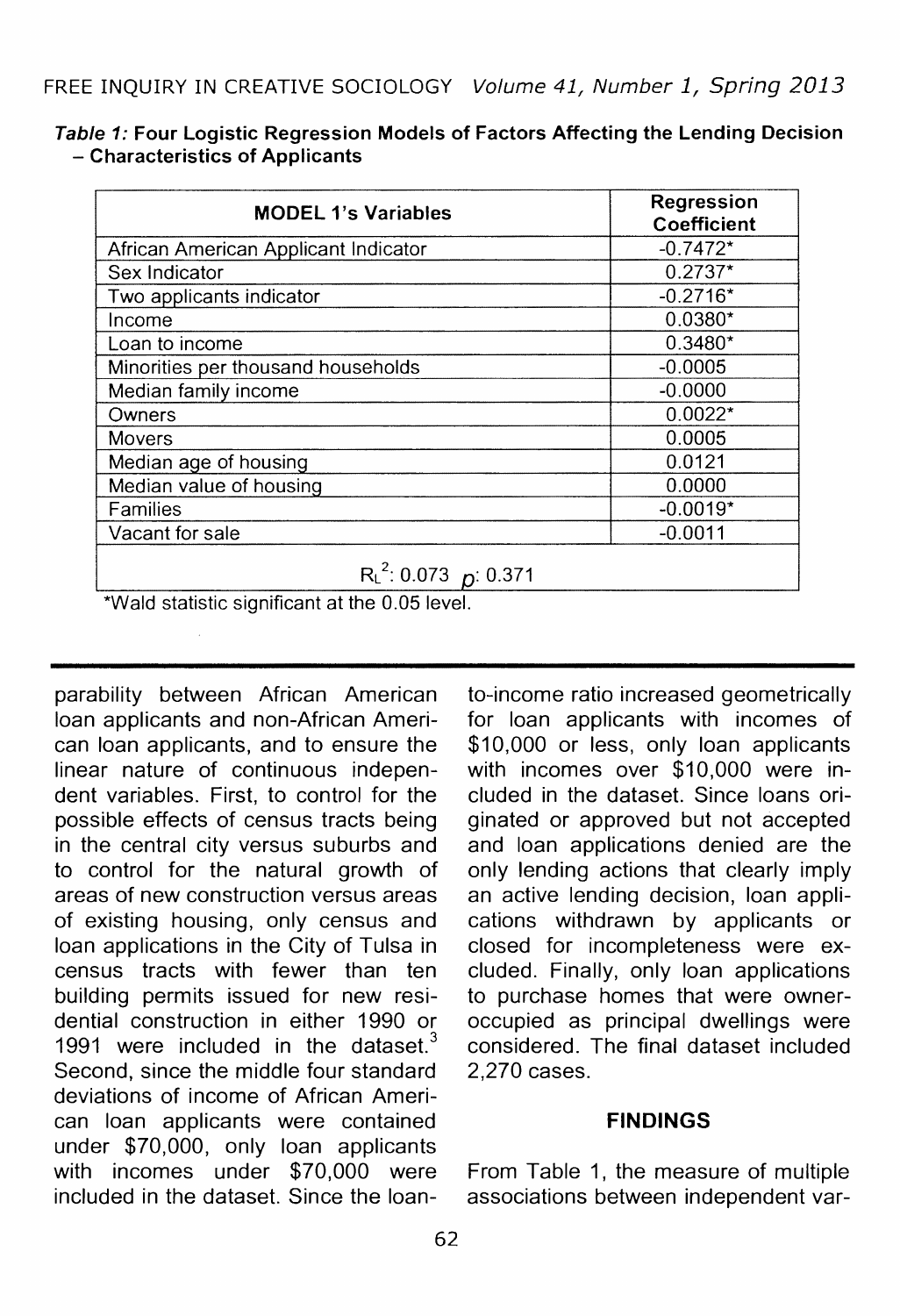| <b>MODEL 1's Variables</b>           | <b>Regression</b><br><b>Coefficient</b> |
|--------------------------------------|-----------------------------------------|
| African American Applicant Indicator | $-0.7472*$                              |
| Sex Indicator                        | $0.2737*$                               |
| Two applicants indicator             | $-0.2716*$                              |
| Income                               | $0.0380*$                               |
| Loan to income                       | $0.3480*$                               |
| Minorities per thousand households   | $-0.0005$                               |
| Median family income                 | $-0.0000$                               |
| Owners                               | $0.0022*$                               |
| <b>Movers</b>                        | 0.0005                                  |
| Median age of housing                | 0.0121                                  |
| Median value of housing              | 0.0000                                  |
| Families                             | $-0.0019*$                              |
| Vacant for sale                      | $-0.0011$                               |
| $R_{L}^{2}$ : 0.073 p: 0.371<br>.    |                                         |

Table 1: Four Logistic Regression Models of Factors Affecting the Lending Decision - Characteristics of Applicants

\*Wald statistic significant at the 0.05 level.

parability between African American loan applicants and non-African American loan applicants, and to ensure the linear nature of continuous independent variables. First, to control for the possible effects of census tracts being in the central city versus suburbs and to control for the natural growth of areas of new construction versus areas of existing housing, only census and loan applications in the City of Tulsa in census tracts with fewer than ten building permits issued for new residential construction in either 1990 or 1991 were included in the dataset. $3$ Second, since the middle four standard deviations of income of African American loan applicants were contained under \$70,000, only loan applicants with incomes under \$70,000 were included in the dataset. Since the loan-

to-income ratio increased geometrically for loan applicants with incomes of \$10,000 or less, only loan applicants with incomes over \$10,000 were included in the dataset. Since loans originated or approved but not accepted and loan applications denied are the only lending actions that clearly imply an active lending decision, loan applications withdrawn by applicants or closed for incompleteness were excluded. Finally, only loan applications to purchase homes that were owneroccupied as principal dwellings were considered. The final dataset included 2,270 cases.

# **FINDINGS**

From Table 1, the measure of multiple associations between independent var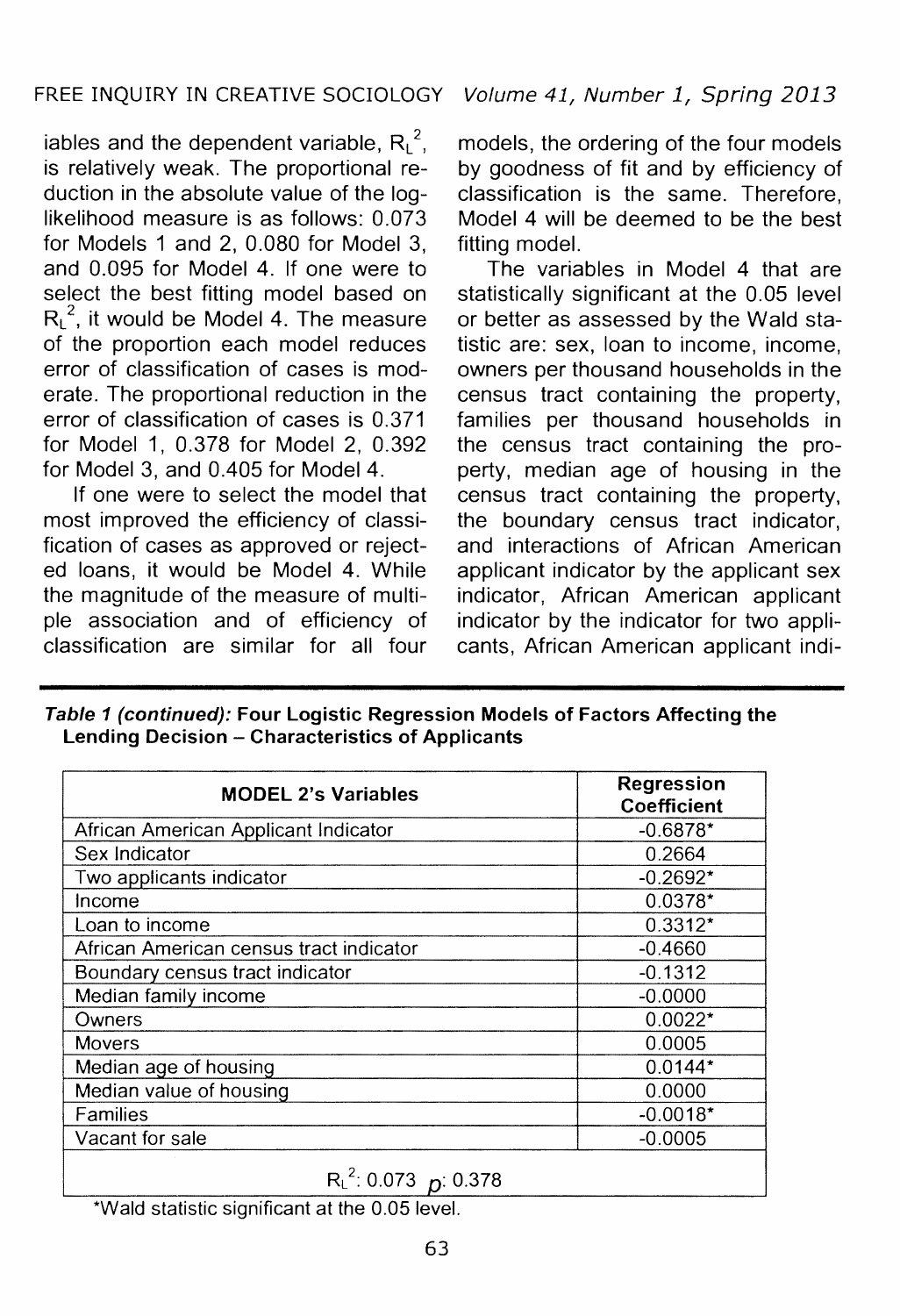iables and the dependent variable,  $R_L^2$ , is relatively weak. The proportional reduction in the absolute value of the loglikelihood measure is as follows: 0.073 for Models 1 and 2, 0.080 for Model 3, and 0.095 for Model 4. If one were to select the best fitting model based on  $R_L^c$ , it would be Model 4. The measure of the proportion each model reduces error of classification of cases is moderate. The proportional reduction in the error of classification of cases is 0.371 for Model 1, 0.378 for Model 2, 0.392 for Model 3, and 0.405 for Model 4.

If one were to select the model that most improved the efficiency of classification of cases as approved or rejected loans, it would be Model 4. While the magnitude of the measure of multiple association and of efficiency of classification are similar for all four

models, the ordering of the four models by goodness of fit and by efficiency of classification is the same. Therefore, Model 4 will be deemed to be the best fitting model.

The variables in Model 4 that are statistically significant at the 0.05 level or better as assessed by the Wald statistic are: sex, loan to income, income, owners per thousand households in the census tract containing the property, families per thousand households in the census tract containing the property, median age of housing in the census tract containing the property, the boundary census tract indicator, and interactions of African American applicant indicator by the applicant sex indicator, African American applicant indicator by the indicator for two applicants, African American applicant indi-

| Table 1 (continued): Four Logistic Regression Models of Factors Affecting the |
|-------------------------------------------------------------------------------|
| Lending Decision – Characteristics of Applicants                              |

| <b>MODEL 2's Variables</b>              | <b>Regression</b><br>Coefficient |
|-----------------------------------------|----------------------------------|
| African American Applicant Indicator    | $-0.6878*$                       |
| Sex Indicator                           | 0.2664                           |
| Two applicants indicator                | $-0.2692*$                       |
| Income                                  | $0.0378*$                        |
| Loan to income                          | $0.3312*$                        |
| African American census tract indicator | $-0.4660$                        |
| Boundary census tract indicator         | $-0.1312$                        |
| Median family income                    | $-0.0000$                        |
| Owners                                  | $0.0022*$                        |
| Movers                                  | 0.0005                           |
| Median age of housing                   | $0.0144*$                        |
| Median value of housing                 | 0.0000                           |
| Families                                | $-0.0018*$                       |
| Vacant for sale                         | $-0.0005$                        |
| $R_L^2$ : 0.073 p. 0.378                |                                  |

\*Wald statistic significant at the 0.05 level.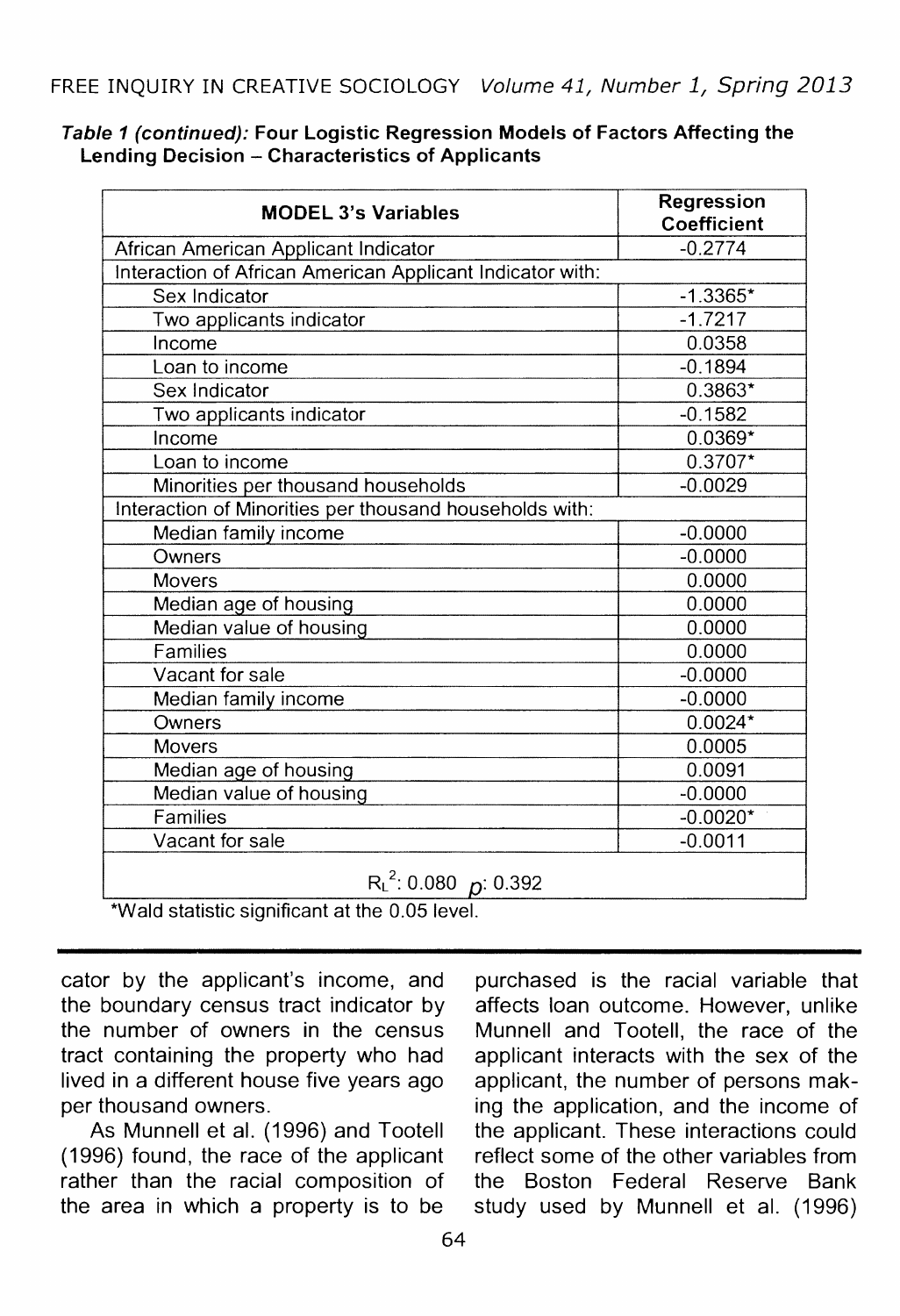| <b>MODEL 3's Variables</b>                                | Regression<br>Coefficient |  |
|-----------------------------------------------------------|---------------------------|--|
| African American Applicant Indicator                      | $-0.2774$                 |  |
| Interaction of African American Applicant Indicator with: |                           |  |
| Sex Indicator                                             | $-1.3365*$                |  |
| Two applicants indicator                                  | $-1.7217$                 |  |
| Income                                                    | 0.0358                    |  |
| Loan to income                                            | $-0.1894$                 |  |
| Sex Indicator                                             | 0.3863*                   |  |
| Two applicants indicator                                  | $-0.1582$                 |  |
| Income                                                    | $0.0369*$                 |  |
| Loan to income                                            | $0.3707*$                 |  |
| Minorities per thousand households                        | $-0.0029$                 |  |
| Interaction of Minorities per thousand households with:   |                           |  |
| Median family income                                      | $-0.0000$                 |  |
| Owners                                                    | $-0.0000$                 |  |
| Movers                                                    | 0.0000                    |  |
| Median age of housing                                     | 0.0000                    |  |
| Median value of housing                                   | 0.0000                    |  |
| <b>Families</b>                                           | 0.0000                    |  |
| Vacant for sale                                           | $-0.0000$                 |  |
| Median family income                                      | $-0.0000$                 |  |
| Owners                                                    | $0.0024*$                 |  |
| Movers                                                    | 0.0005                    |  |
| Median age of housing                                     | 0.0091                    |  |
| Median value of housing                                   | $-0.0000$                 |  |
| Families                                                  | $-0.0020*$                |  |
| Vacant for sale                                           | $-0.0011$                 |  |
| $R_{L}^{2}$ : 0.080 p: 0.392                              |                           |  |

### Table 1 (continued): Four Logistic Regression Models of Factors Affecting the Lending Decision - Characteristics of Applicants

\*Wald statistic significant at the 0.05 level.

the boundary census tract indicator by affects loan outcome. However, unlike the number of owners in the census Munnell and Tootell, the race of the tract containing the property who had applicant interacts with the sex of the lived in a different house five years ago applicant, the number of persons makper thousand owners. ing the application, and the income of

(1996) found, the race of the applicant reflect some of the other variables from rather than the racial composition of the Boston Federal Reserve Bank the area in which a property is to be study used by Munnell et al. (1996)

cator by the applicant's income, and purchased is the racial variable that As Munnell et al. (1996) and Tootell the applicant. These interactions could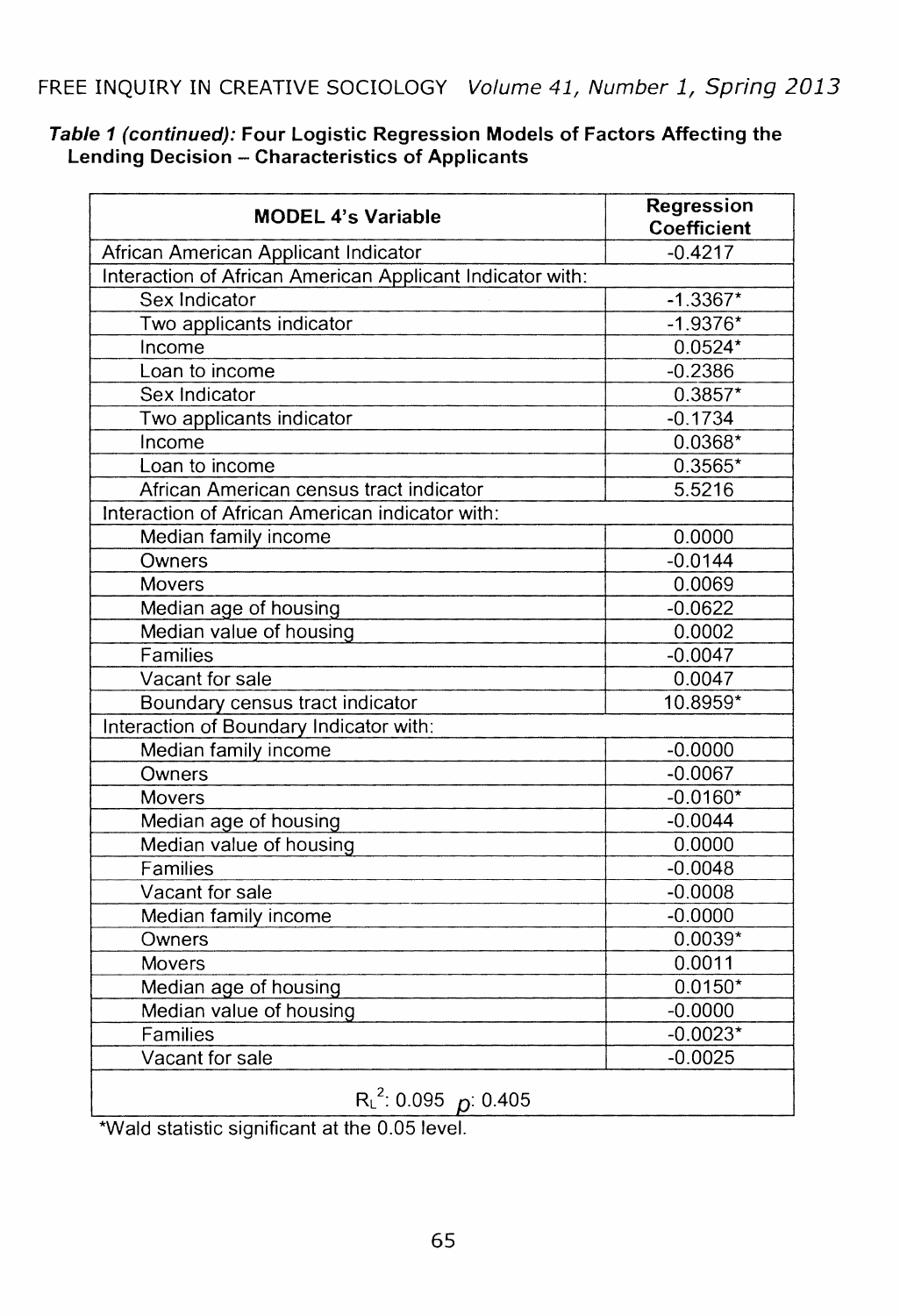| <b>MODEL 4's Variable</b>                                 | Regression<br>Coefficient |
|-----------------------------------------------------------|---------------------------|
| African American Applicant Indicator                      | $-0.4217$                 |
| Interaction of African American Applicant Indicator with: |                           |
| Sex Indicator                                             | $-1.3367*$                |
| Two applicants indicator                                  | $-1.9376*$                |
| Income                                                    | $0.0524*$                 |
| Loan to income                                            | $-0.2386$                 |
| Sex Indicator                                             | $0.3857*$                 |
| Two applicants indicator                                  | $-0.1734$                 |
| Income                                                    | $0.0368*$                 |
| Loan to income                                            | $0.3565*$                 |
| African American census tract indicator                   | 5.5216                    |
| Interaction of African American indicator with:           |                           |
| Median family income                                      | 0.0000                    |
| Owners                                                    | $-0.0144$                 |
| Movers                                                    | 0.0069                    |
| Median age of housing                                     | $-0.0622$                 |
| Median value of housing                                   | 0.0002                    |
| Families                                                  | $-0.0047$                 |
| Vacant for sale                                           | 0.0047                    |
| Boundary census tract indicator                           | 10.8959*                  |
| Interaction of Boundary Indicator with:                   |                           |
| Median family income                                      | $-0.0000$                 |
| Owners                                                    | $-0.0067$                 |
| Movers                                                    | $-0.0160*$                |
| Median age of housing                                     | $-0.0044$                 |
| Median value of housing                                   | 0.0000                    |
| Families                                                  | $-0.0048$                 |
| Vacant for sale                                           | $-0.0008$                 |
| Median family income                                      | $-0.0000$                 |
| Owners                                                    | $0.0039*$                 |
| <b>Movers</b>                                             | 0.0011                    |
| Median age of housing                                     | $0.0150*$                 |
| Median value of housing                                   | $-0.0000$                 |
| Families                                                  | $-0.0023*$                |
| Vacant for sale                                           | $-0.0025$                 |
| $R_{L}^{2}$ : 0.095 p: 0.405                              |                           |

### **Table 1 (continued): Four Logistic Regression Models of Factors Affecting the Lending Decision - Characteristics of Applicants**

\*Wald statistic significant at the 0.05 level.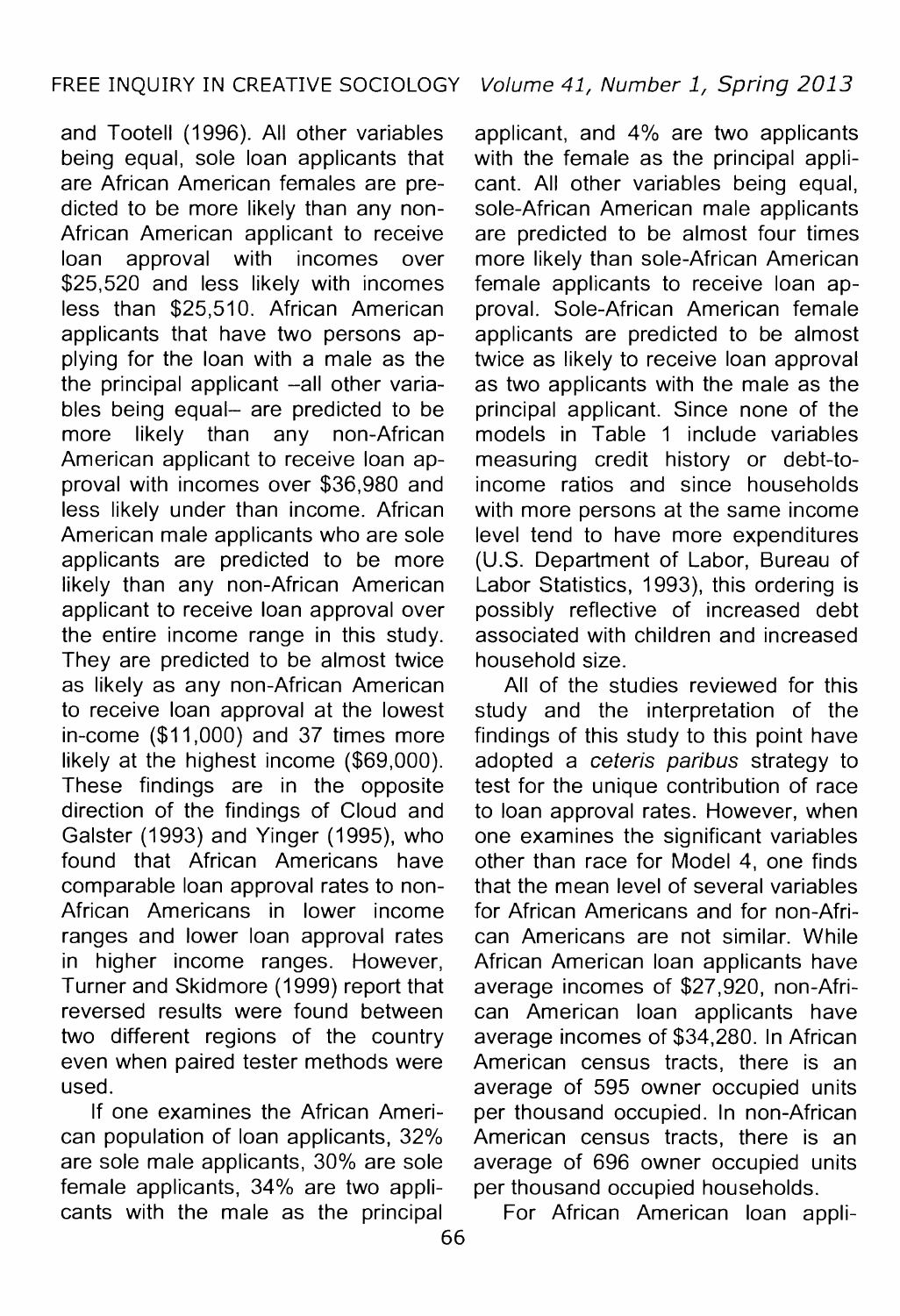and Tootell (1996). All other variables being equal, sole loan applicants that are African American females are predicted to be more likely than any non-African American applicant to receive<br>loan approval with incomes over approval with incomes over \$25,520 and less likely with incomes less than \$25,510. African American applicants that have two persons applying for the loan with a male as the the principal applicant -all other variables being equal- are predicted to be more likely than any non-African American applicant to receive loan approval with incomes over \$36,980 and less likely under than income. African American male applicants who are sole applicants are predicted to be more likely than any non-African American applicant to receive loan approval over the entire income range in this study. They are predicted to be almost twice as likely as any non-African American to receive loan approval at the lowest in-come (\$11,000) and 37 times more likely at the highest income (\$69,000). These findings are in the opposite direction of the findings of Cloud and Galster (1993) and Yinger (1995), who found that African Americans have comparable loan approval rates to non-African Americans in lower income ranges and lower loan approval rates in higher income ranges. However, Turner and Skidmore (1999) report that reversed results were found between two different regions of the country even when paired tester methods were used.

If one examines the African American population of loan applicants, 32% are sole male applicants, 30% are sole female applicants, 34% are two applicants with the male as the principal

applicant, and 4% are two applicants with the female as the principal applicant. All other variables being equal. sole-African American male applicants are predicted to be almost four times more likely than sole-African American female applicants to receive loan approval. Sole-African American female applicants are predicted to be almost twice as likely to receive loan approval as two applicants with the male as the principal applicant. Since none of the models in Table 1 include variables measuring credit history or debt-toincome ratios and since households with more persons at the same income level tend to have more expenditures (U.S. Department of Labor, Bureau of Labor Statistics, 1993), this ordering is possibly reflective of increased debt associated with children and increased household size.

All of the studies reviewed for this study and the interpretation of the findings of this study to this point have adopted a ceteris paribus strategy to test for the unique contribution of race to loan approval rates. However, when one examines the significant variables other than race for Model 4, one finds that the mean level of several variables for African Americans and for non-African Americans are not similar. While African American loan applicants have average incomes of \$27,920, non-African American loan applicants have average incomes of \$34,280. In African American census tracts, there is an average of 595 owner occupied units per thousand occupied. In non-African American census tracts, there is an average of 696 owner occupied units per thousand occupied households.

For African American loan appli-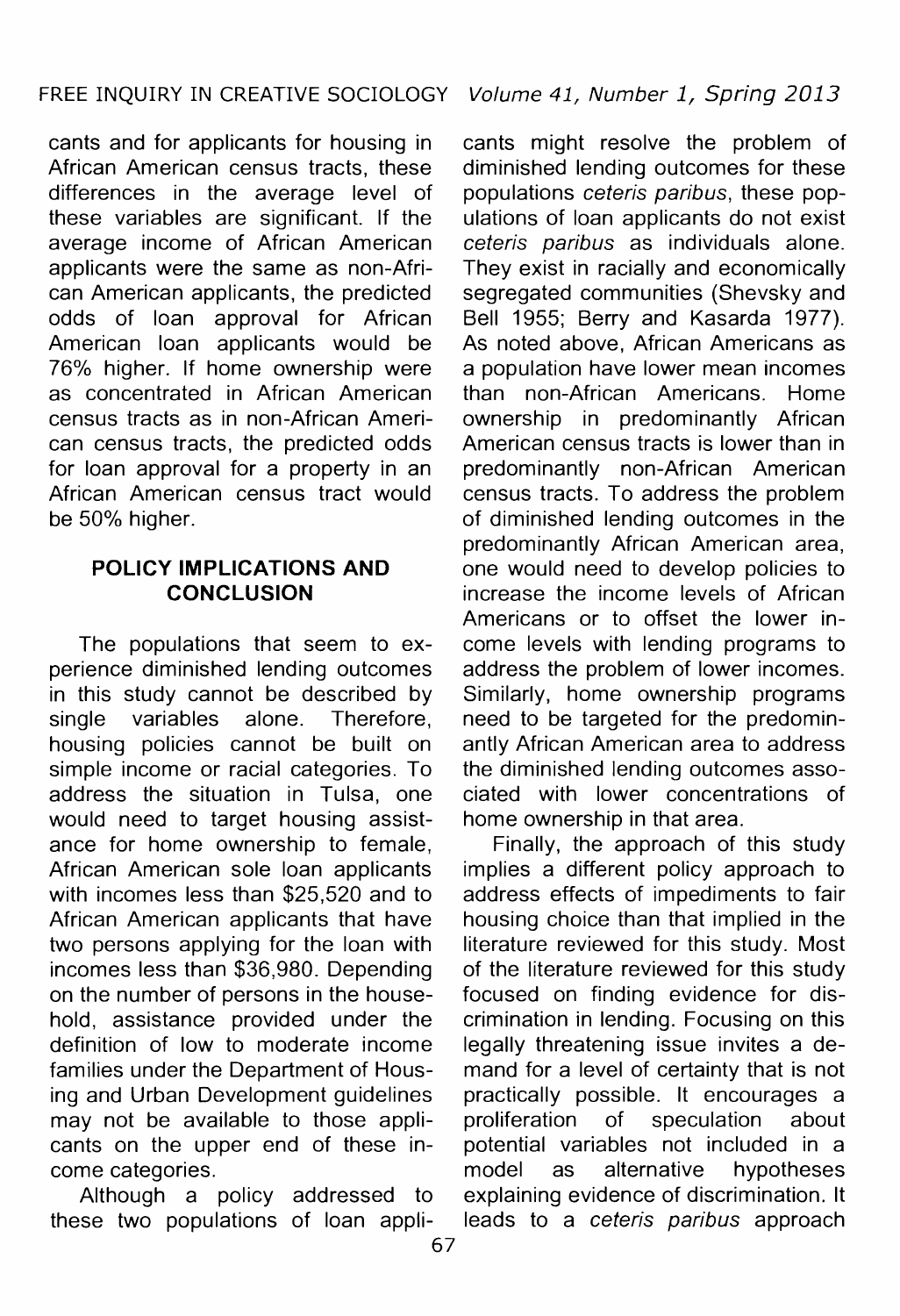cants and for applicants for housing in African American census tracts, these differences in the average level of these variables are significant. If the average income of African American applicants were the same as non-African American applicants, the predicted odds of loan approval for African American loan applicants would be 76% higher. If home ownership were as concentrated in African American census tracts as in non-African American census tracts, the predicted odds for loan approval for a property in an African American census tract would be 50% higher.

# **POLICY IMPLICATIONS AND CONCLUSION**

The populations that seem to experience diminished lending outcomes in this study cannot be described by single variables alone. Therefore, housing policies cannot be built on simple income or racial categories. To address the situation in Tulsa, one would need to target housing assistance for home ownership to female, African American sole loan applicants with incomes less than \$25,520 and to African American applicants that have two persons applying for the loan with incomes less than \$36,980. Depending on the number of persons in the household, assistance provided under the definition of low to moderate income families under the Department of Housing and Urban Development guidelines may not be available to those applicants on the upper end of these income categories.

Although a policy addressed to these two populations of loan applicants might resolve the problem of diminished lending outcomes for these populations ceteris paribus, these populations of loan applicants do not exist ceteris paribus as individuals alone. They exist in racially and economically segregated communities (Shevsky and Bell 1955; Berry and Kasarda 1977). As noted above, African Americans as a population have lower mean incomes than non-African Americans. Home ownership in predominantly African American census tracts is lower than in predominantly non-African American census tracts. To address the problem of diminished lending outcomes in the predominantly African American area, one would need to develop policies to increase the income levels of African Americans or to offset the lower income levels with lending programs to address the problem of lower incomes. Similarly, home ownership programs need to be targeted for the predominantly African American area to address the diminished lending outcomes associated with lower concentrations of home ownership in that area.

Finally, the approach of this study implies a different policy approach to address effects of impediments to fair housing choice than that implied in the literature reviewed for this study. Most of the literature reviewed for this study focused on finding evidence for discrimination in lending. Focusing on this legally threatening issue invites a demand for a level of certainty that is not practically possible. It encourages a<br>proliferation of speculation about of speculation about potential variables not included in a model as alternative hypotheses explaining evidence of discrimination. It leads to a ceteris paribus approach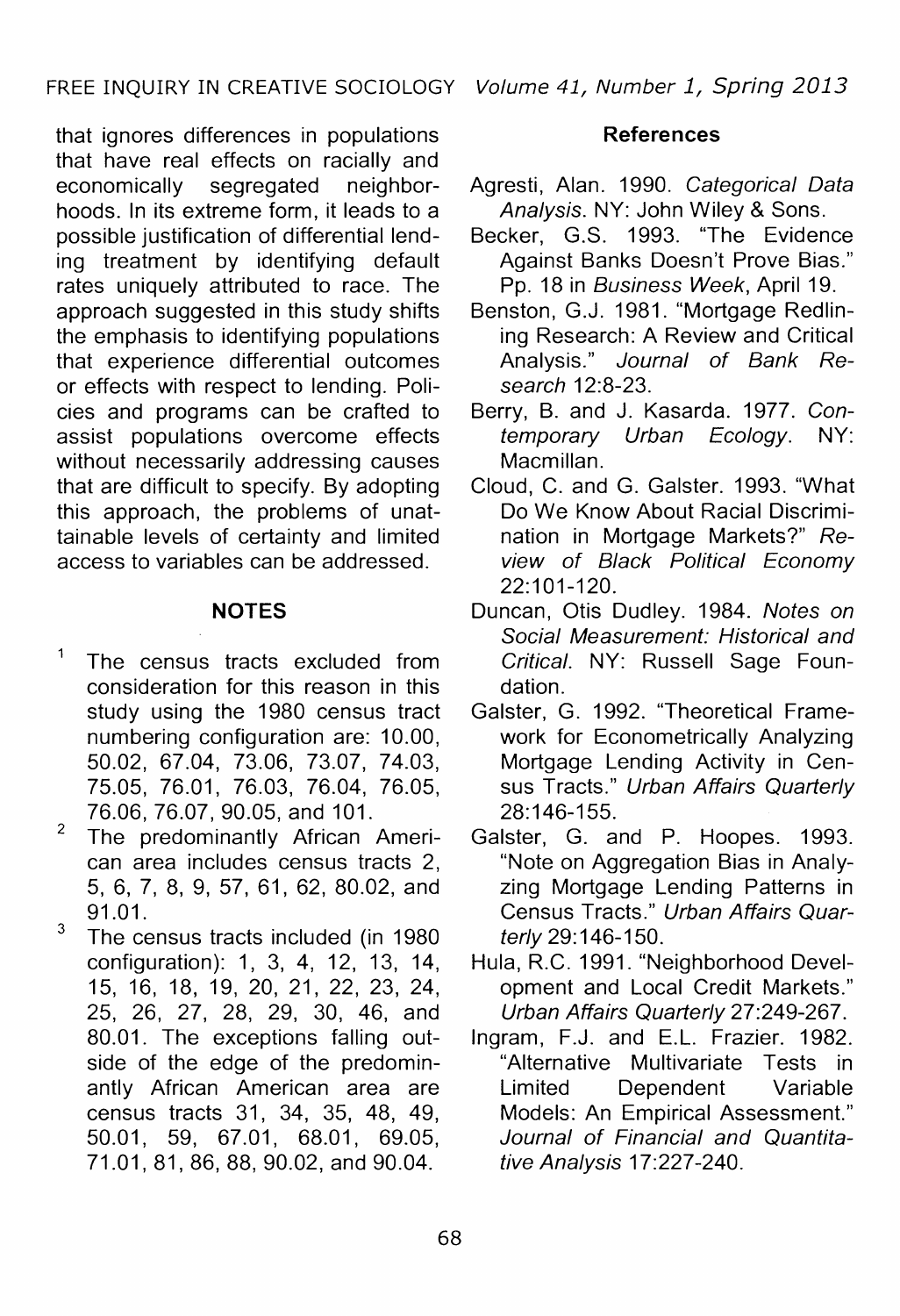that ignores differences in populations that have real effects on racially and<br>economically segregated neighboreconomically segregated neighborhoods. In its extreme form, it leads to a possible justification of differential lending treatment by identifying default rates uniquely attributed to race. The approach suggested in this study shifts the emphasis to identifying populations that experience differential outcomes or effects with respect to lending. Policies and programs can be crafted to assist populations overcome effects without necessarily addressing causes that are difficult to specify. By adopting this approach, the problems of unattainable levels of certainty and limited access to variables can be addressed.

# **NOTES**

- $\overline{1}$ The census tracts excluded from consideration for this reason in this study using the 1980 census tract numbering configuration are: 10.00, 50.02, 67.04, 73.06, 73.07, 74.03, 75.05, 76.01, 76.03, 76.04, 76.05, 76.06, 76.07, 90.05, and 101.
- <sup>2</sup> The predominantly African American area includes census tracts 2, 5, 6, 7, 8, 9, 57, 61, 62, 80.02, and 91.01.
- <sup>3</sup> The census tracts included (in 1980 configuration): 1, 3, 4, 12, 13, 14, 15, 16, 18, 19, 20, 21, 22, 23, 24, 25, 26, 27, 28, 29, 30, 46, and 80.01. The exceptions falling outside of the edge of the predominantly African American area are census tracts 31, 34, 35, 48, 49, 50.01, 59, 67.01, 68.01, 69.05, 71.01, 81, 86, 88, 90.02, and 90.04.

## **References**

- Agresti, Alan. 1990. Categorical Data Analysis. NY: John Wiley & Sons.
- Becker, G.S. 1993. 'The Evidence Against Banks Doesn't Prove Bias." Pp. 18 in Business Week, April 19.
- Benston, G.J. 1981. "Mortgage Redlining Research: A Review and Critical Analysis." Journal of Bank Research 12:8-23.
- Berry, B. and J. Kasarda. 1977. Contemporary Urban Ecology. NY: Macmillan.
- Cloud, C. and G. Galster. 1993. "What Do We Know About Racial Discrimination in Mortgage Markets?" Review of Black Political Economy 22:101-120.
- Duncan, Otis Dudley. 1984. Notes on Social Measurement: Historical and Critical. NY: Russell Sage Foundation.
- Galster, G. 1992. "Theoretical Framework for Econometrically Analyzing Mortgage Lending Activity in Census Tracts." Urban Affairs Quarterly 28:146-155.
- Galster, G. and P. Hoopes. 1993. "Note on Aggregation Bias in Analyzing Mortgage Lending Patterns in Census Tracts." Urban Affairs Quarterly 29: 146-150.
- Hula, R.C. 1991. "Neighborhood Development and Local Credit Markets." Urban Affairs Quarterly 27:249-267.
- Ingram, F.J. and E.L. Frazier. 1982. "Alternative Multivariate Tests in Limited Dependent Variable Models: An Empirical Assessment." Journal of Financial and Quantitative Analysis 17:227-240.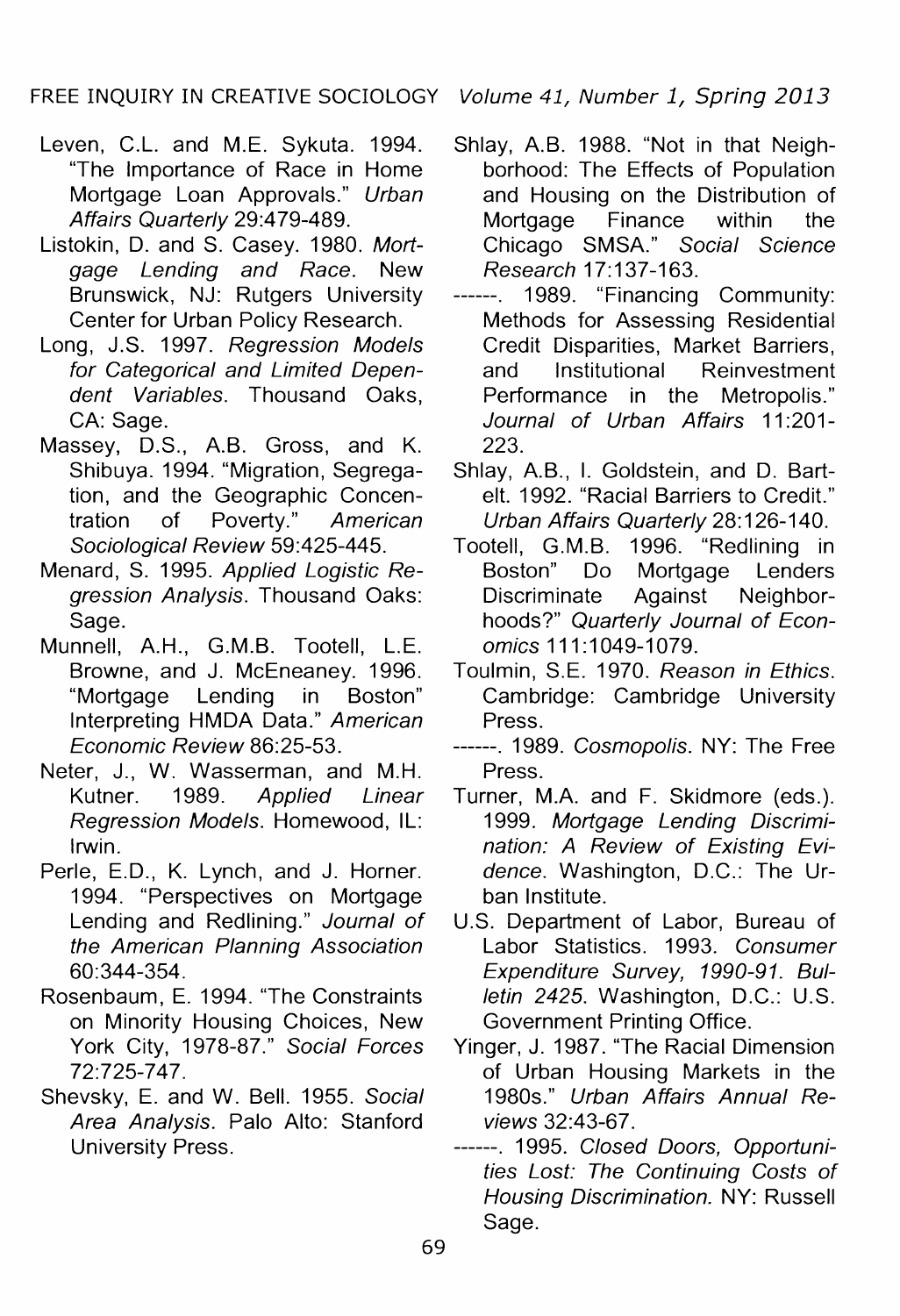FREE INQUIRY IN CREATIVE SOCIOLOGY Volume 41, Number 1, Spring 2013

- Leven, C.L. and M.E. Sykuta. 1994. "The Importance of Race in Home Mortgage Loan Approvals." Urban Affairs Quarterly 29:479-489.
- Listokin, D. and S. Casey. 1980. Mortgage Lending and Race. New Brunswick, NJ: Rutgers University Center for Urban Policy Research.
- Long, J.S. 1997. Regression Models for Categorical and Limited Dependent Variables. Thousand Oaks, CA: Sage.
- Massey, D.S., A.B. Gross, and K. Shibuya. 1994. "Migration, Segregation, and the Geographic Concentration of Poverty." American Sociological Review 59:425-445.
- Menard, S. 1995. Applied Logistic Regression Analysis. Thousand Oaks: Sage.
- Munnell, A.H., G.M.B. Tootell, L.E. Browne, and J. McEneaney. 1996. "Mortgage Lending in Boston" Interpreting HMDA Data." American Economic Review 86:25-53.
- Neter, J., W. Wasserman, and M.H. Kutner. 1989. Applied Linear Regression Models. Homewood, IL: Irwin.
- Perle, E.D., K. Lynch, and J. Horner. 1994. "Perspectives on Mortgage Lending and Redlining." Journal of the American Planning Association 60:344-354.
- Rosenbaum, E. 1994. "The Constraints on Minority Housing Choices, New York City, 1978-87." Social Forces 72:725-747.
- Shevsky, E. and W. Bell. 1955. Social Area Analysis. Palo Alto: Stanford University Press.

- Shlay, A.B. 1988. "Not in that Neighborhood: The Effects of Population and Housing on the Distribution of<br>Mortgage Finance within the Finance Chicago SMSA." Social Science Research 17:137-163.
- ------. 1989. "Financing Community: Methods for Assessing Residential Credit Disparities, Market Barriers,<br>and Institutional Reinvestment and Institutional Reinvestment Performance in the Metropolis." Journal of Urban Affairs 11:201-223.
- Shlay, A.B., I. Goldstein, and D. Bartelt. 1992. "Racial Barriers to Credit." Urban Affairs Quarterly 28:126-140.
- Tootell, G.M.B. 1996. "Redlining in Boston" Do Mortgage Lenders Discriminate Against Neighborhoods?" Quarterly Journal of Economics 111:1049-1079.
- Toulmin, S.E. 1970. Reason in Ethics. Cambridge: Cambridge University Press.
- ------. 1989. Cosmopolis. NY: The Free Press.
- Turner, M.A. and F. Skidmore (eds.). 1999. Mortgage Lending Discrimination: A Review of Existing Evidence. Washington, D.C.: The Urban Institute.
- U.S. Department of Labor, Bureau of Labor Statistics. 1993. Consumer Expenditure Survey, 1990-91. Bulletin 2425. Washington, D.C.: U.S. Government Printing Office.
- Yinger, J. 1987. "The Racial Dimension of Urban Housing Markets in the 1980s." Urban Affairs Annual Reviews 32:43-67.
- ------. 1995. Closed Doors, Opportunities Lost: The Continuing Costs of Housing Discrimination. NY: Russell Sage.